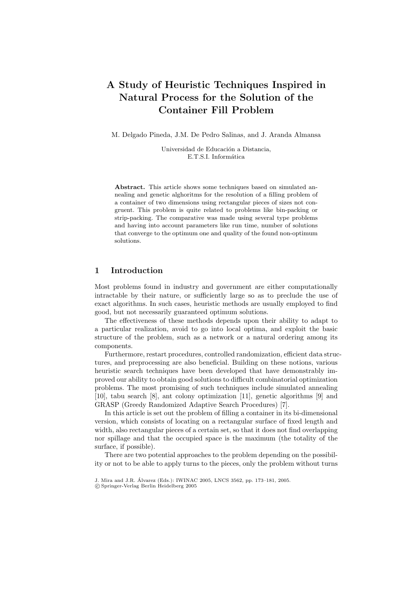# <span id="page-0-0"></span>**A Study of Heuristic Techniques Inspired in Natural Process for the Solution of the Container Fill Problem**

M. Delgado Pineda, J.M. De Pedro Salinas, and J. Aranda Almansa

Universidad de Educación a Distancia, E.T.S.I. Informática

**Abstract.** This article shows some techniques based on simulated annealing and genetic alghoritms for the resolution of a filling problem of a container of two dimensions using rectangular pieces of sizes not congruent. This problem is quite related to problems like bin-packing or strip-packing. The comparative was made using several type problems and having into account parameters like run time, number of solutions that converge to the optimum one and quality of the found non-optimum solutions.

## **1 Introduction**

Most problems found in industry and government are either computationally intractable by their nature, or sufficiently large so as to preclude the use of exact algorithms. In such cases, heuristic methods are usually employed to find good, but not necessarily guaranteed optimum solutions.

The effectiveness of these methods depends upon their ability to adapt to a particular realization, avoid to go into local optima, and exploit the basic structure of the problem, such as a network or a natural ordering among its components.

Furthermore, restart procedures, controlled randomization, efficient data structures, and preprocessing are also beneficial. Building on these notions, various heuristic search techniques have been developed that have demonstrably improved our ability to obtain good solutions to difficult combinatorial optimization problems. The most promising of such techniques include simulated annealing [\[10\]](#page-8-0), tabu search [\[8\]](#page-8-1), ant colony optimization [\[11\]](#page-8-2), genetic algorithms [\[9\]](#page-8-3) and GRASP (Greedy Randomized Adaptive Search Procedures) [\[7\]](#page-8-4).

In this article is set out the problem of filling a container in its bi-dimensional version, which consists of locating on a rectangular surface of fixed length and width, also rectangular pieces of a certain set, so that it does not find overlapping nor spillage and that the occupied space is the maximum (the totality of the surface, if possible).

There are two potential approaches to the problem depending on the possibility or not to be able to apply turns to the pieces, only the problem without turns

J. Mira and J.R. Alvarez (Eds.): IWINAC 2005, LNCS 3562, pp. [173](#page-0-0)[–181,](#page-8-5) 2005. ´ c Springer-Verlag Berlin Heidelberg 2005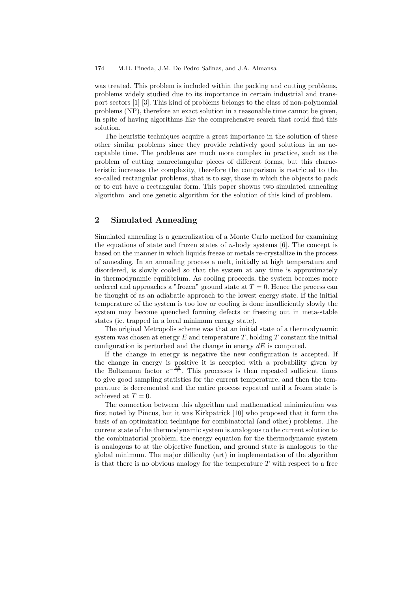#### 174 M.D. Pineda, J.M. De Pedro Salinas, and J.A. Almansa

was treated. This problem is included within the packing and cutting problems, problems widely studied due to its importance in certain industrial and transport sectors [\[1\]](#page-8-6) [\[3\]](#page-8-7). This kind of problems belongs to the class of non-polynomial problems (NP), therefore an exact solution in a reasonable time cannot be given, in spite of having algorithms like the comprehensive search that could find this solution.

The heuristic techniques acquire a great importance in the solution of these other similar problems since they provide relatively good solutions in an acceptable time. The problems are much more complex in practice, such as the problem of cutting nonrectangular pieces of different forms, but this characteristic increases the complexity, therefore the comparison is restricted to the so-called rectangular problems, that is to say, those in which the objects to pack or to cut have a rectangular form. This paper showns two simulated annealing algorithm and one genetic algorithm for the solution of this kind of problem.

# **2 Simulated Annealing**

Simulated annealing is a generalization of a Monte Carlo method for examining the equations of state and frozen states of *n*-body systems [\[6\]](#page-8-8). The concept is based on the manner in which liquids freeze or metals re-crystallize in the process of annealing. In an annealing process a melt, initially at high temperature and disordered, is slowly cooled so that the system at any time is approximately in thermodynamic equilibrium. As cooling proceeds, the system becomes more ordered and approaches a "frozen" ground state at  $T = 0$ . Hence the process can be thought of as an adiabatic approach to the lowest energy state. If the initial temperature of the system is too low or cooling is done insufficiently slowly the system may become quenched forming defects or freezing out in meta-stable states (ie. trapped in a local minimum energy state).

The original Metropolis scheme was that an initial state of a thermodynamic system was chosen at energy *E* and temperature *T*, holding *T* constant the initial configuration is perturbed and the change in energy *dE* is computed.

If the change in energy is negative the new configuration is accepted. If the change in energy is positive it is accepted with a probability given by the Boltzmann factor  $e^{-\frac{\lambda E}{T}}$ . This processes is then repeated sufficient times to give good sampling statistics for the current temperature, and then the temperature is decremented and the entire process repeated until a frozen state is achieved at  $T=0$ .

The connection between this algorithm and mathematical minimization was first noted by Pincus, but it was Kirkpatrick [\[10\]](#page-8-0) who proposed that it form the basis of an optimization technique for combinatorial (and other) problems. The current state of the thermodynamic system is analogous to the current solution to the combinatorial problem, the energy equation for the thermodynamic system is analogous to at the objective function, and ground state is analogous to the global minimum. The major difficulty (art) in implementation of the algorithm is that there is no obvious analogy for the temperature *T* with respect to a free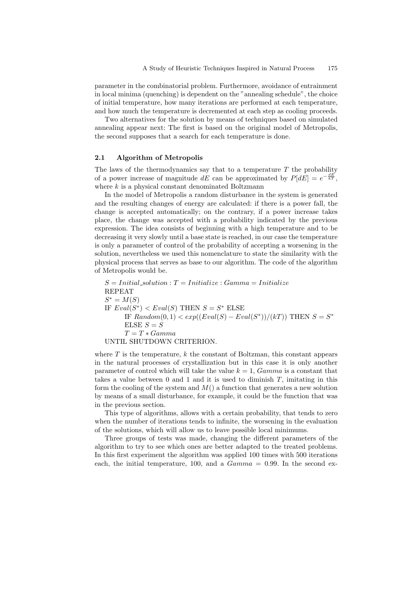parameter in the combinatorial problem. Furthermore, avoidance of entrainment in local minima (quenching) is dependent on the "annealing schedule", the choice of initial temperature, how many iterations are performed at each temperature, and how much the temperature is decremented at each step as cooling proceeds.

Two alternatives for the solution by means of techniques based on simulated annealing appear next: The first is based on the original model of Metropolis, the second supposes that a search for each temperature is done.

#### **2.1 Algorithm of Metropolis**

The laws of the thermodynamics say that to a temperature *T* the probability of a power increase of magnitude  $dE$  can be approximated by  $P[dE] = e^{-\frac{dE'}{kT}}$ , where *k* is a physical constant denominated Boltzmann

In the model of Metropolis a random disturbance in the system is generated and the resulting changes of energy are calculated: if there is a power fall, the change is accepted automatically; on the contrary, if a power increase takes place, the change was accepted with a probability indicated by the previous expression. The idea consists of beginning with a high temperature and to be decreasing it very slowly until a base state is reached, in our case the temperature is only a parameter of control of the probability of accepting a worsening in the solution, nevertheless we used this nomenclature to state the similarity with the physical process that serves as base to our algorithm. The code of the algorithm of Metropolis would be.

*S* = *Initial solution* : *T* = *Initialize* : *Gamma* = *Initialize* REPEAT  $S^* = M(S)$ IF  $Eval(S^*) < eval(S)$  THEN  $S = S^*$  ELSE IF  $Random(0, 1) < exp((Eval(S) – eval(S^*))/(k))$  THEN  $S = S^*$ ELSE  $S = S$ *<sup>T</sup>* <sup>=</sup> *<sup>T</sup>* <sup>∗</sup> *Gamma* UNTIL SHUTDOWN CRITERION.

where  $T$  is the temperature,  $k$  the constant of Boltzman, this constant appears in the natural processes of crystallization but in this case it is only another parameter of control which will take the value *k* = 1, *Gamma* is a constant that takes a value between 0 and 1 and it is used to diminish *T*, imitating in this form the cooling of the system and  $M()$  a function that generates a new solution by means of a small disturbance, for example, it could be the function that was in the previous section.

This type of algorithms, allows with a certain probability, that tends to zero when the number of iterations tends to infinite, the worsening in the evaluation of the solutions, which will allow us to leave possible local minimums.

Three groups of tests was made, changing the different parameters of the algorithm to try to see which ones are better adapted to the treated problems. In this first experiment the algorithm was applied 100 times with 500 iterations each, the initial temperature, 100*,* and a *Gamma* = 0*.*99. In the second ex-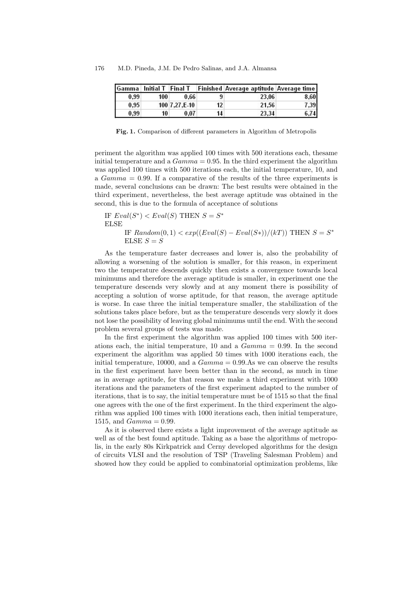| Gamma   Initial T |     | <b>Final T</b> |                 | <b>Finished Average aptitude Average time</b> |       |
|-------------------|-----|----------------|-----------------|-----------------------------------------------|-------|
| 0.99              | 100 | 0.66           | q               | 23.06                                         | 8.60  |
| 0.95              |     | 100 7.27 E 10  | 12 <sub>1</sub> | 21.56                                         | 7,39  |
| 0.99              | 10  | 0.07           | 14 <sub>1</sub> | 23.34                                         | 6,741 |

**Fig. 1.** Comparison of different parameters in Algorithm of Metropolis

periment the algorithm was applied 100 times with 500 iterations each, thesame initial temperature and a *Gamma* = 0*.*95. In the third experiment the algorithm was applied 100 times with 500 iterations each, the initial temperature, 10, and a *Gamma* = 0*.*99. If a comparative of the results of the three experiments is made, several conclusions can be drawn: The best results were obtained in the third experiment, nevertheless, the best average aptitude was obtained in the second, this is due to the formula of acceptance of solutions

IF 
$$
Eval(S^*) < eval(S)
$$
 THEN  $S = S^*$    
\nELSE   
\nIF  $Random(0, 1) < exp((Eval(S) -Eval(S^*))/(k))$  THEN  $S = S^*$    
\nELSE  $S = S$ 

As the temperature faster decreases and lower is, also the probability of allowing a worsening of the solution is smaller, for this reason, in experiment two the temperature descends quickly then exists a convergence towards local minimums and therefore the average aptitude is smaller, in experiment one the temperature descends very slowly and at any moment there is possibility of accepting a solution of worse aptitude, for that reason, the average aptitude is worse. In case three the initial temperature smaller, the stabilization of the solutions takes place before, but as the temperature descends very slowly it does not lose the possibility of leaving global minimums until the end. With the second problem several groups of tests was made.

In the first experiment the algorithm was applied 100 times with 500 iterations each, the initial temperature, 10 and a *Gamma* = 0*.*99. In the second experiment the algorithm was applied 50 times with 1000 iterations each, the initial temperature, 10000, and a *Gamma* = 0*.*99.As we can observe the results in the first experiment have been better than in the second, as much in time as in average aptitude, for that reason we make a third experiment with 1000 iterations and the parameters of the first experiment adapted to the number of iterations, that is to say, the initial temperature must be of 1515 so that the final one agrees with the one of the first experiment. In the third experiment the algorithm was applied 100 times with 1000 iterations each, then initial temperature, 1515, and  $Gamma = 0.99$ .

As it is observed there exists a light improvement of the average aptitude as well as of the best found aptitude. Taking as a base the algorithms of metropolis, in the early 80s Kirkpatrick and Cerny developed algorithms for the design of circuits VLSI and the resolution of TSP (Traveling Salesman Problem) and showed how they could be applied to combinatorial optimization problems, like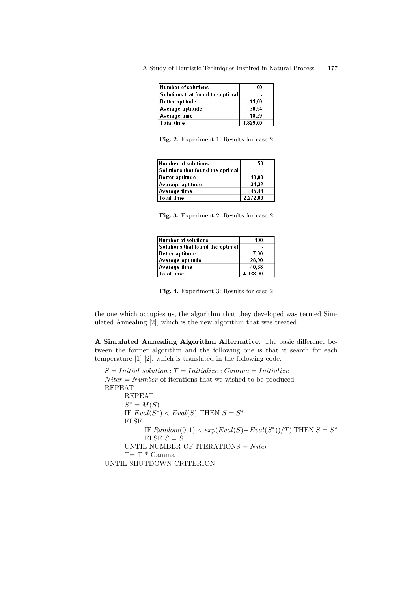| <b>Number of solutions</b>       | 100      |  |
|----------------------------------|----------|--|
| Solutions that found the optimal |          |  |
| <b>Better aptitude</b>           | 11,00    |  |
| Average aptitude                 | 30,54    |  |
| Average time                     | 18.29    |  |
| <b>Total time</b>                | 1.829.00 |  |

**Fig. 2.** Experiment 1: Results for case 2

| <b>Number of solutions</b>       | 50       |  |
|----------------------------------|----------|--|
| Solutions that found the optimal |          |  |
| <b>Better aptitude</b>           | 13.00    |  |
| Average aptitude                 | 31.32    |  |
| <b>Average time</b>              | 45.44    |  |
| <b>Total time</b>                | 2.272,00 |  |

| Fig. 3. Experiment 2: Results for case 2 |  |  |  |
|------------------------------------------|--|--|--|
|                                          |  |  |  |

| <b>Number of solutions</b>       | 100      |  |
|----------------------------------|----------|--|
| Solutions that found the optimal |          |  |
| <b>Better aptitude</b>           | 7.00     |  |
| Average aptitude                 | 28.90    |  |
| Average time                     | 40.38    |  |
| <b>Total time</b>                | 4.038,00 |  |

**Fig. 4.** Experiment 3: Results for case 2

the one which occupies us, the algorithm that they developed was termed Simulated Annealing [\[2\]](#page-8-9), which is the new algorithm that was treated.

**A Simulated Annealing Algorithm Alternative.** The basic difference between the former algorithm and the following one is that it search for each temperature [\[1\]](#page-8-6) [\[2\]](#page-8-9), which is translated in the following code.

*S* = *Initial solution* : *T* = *Initialize* : *Gamma* = *Initialize*  $Niter = Number$  of iterations that we wished to be produced REPEAT REPEAT  $S^* = M(S)$ IF  $Eval(S^*) < eval(S)$  THEN  $S = S^*$ ELSE IF  $Random(0, 1) < exp(Eval(S) –Eval(S^*))/T$  THEN  $S = S^*$ ELSE  $S = S$ UNTIL NUMBER OF ITERATIONS =  $Niter$  $T=T*$  Gamma UNTIL SHUTDOWN CRITERION.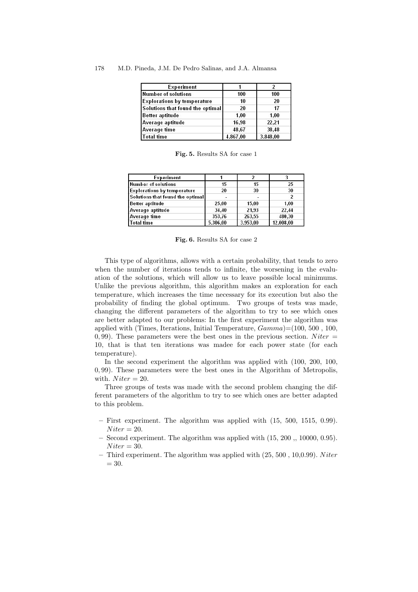| Experiment                         |          |          |  |
|------------------------------------|----------|----------|--|
| <b>Number of solutions</b>         | 100      | 100      |  |
| <b>Explorations by temperature</b> | 10       | 20       |  |
| Solutions that found the optimal   | 20       | 17       |  |
| <b>Better aptitude</b>             | 1.00     | 1.00     |  |
| Average aptitude                   | 16.98    | 22,21    |  |
| Average time                       | 48.67    | 38,48    |  |
| <b>Total time</b>                  | 4.867.00 | 3.848.00 |  |

178 M.D. Pineda, J.M. De Pedro Salinas, and J.A. Almansa

**Fig. 5.** Results SA for case 1

| Experiment                         |          |          |           |
|------------------------------------|----------|----------|-----------|
| Number of solutions                | 15       | 15       | 25        |
| <b>Explorations by temperature</b> | 20       | 30       | 30        |
| Solutions that found the optimal   |          |          |           |
| <b>Better aptitude</b>             | 25.00    | 15.00    | 1.00      |
| Average aptitude                   | 34.40    | 21.93    | 22.44     |
| Average time                       | 353,76   | 263.55   | 480.30    |
| <b>Total time</b>                  | 5.306.00 | 3.953.00 | 12.008.00 |

**Fig. 6.** Results SA for case 2

This type of algorithms, allows with a certain probability, that tends to zero when the number of iterations tends to infinite, the worsening in the evaluation of the solutions, which will allow us to leave possible local minimums. Unlike the previous algorithm, this algorithm makes an exploration for each temperature, which increases the time necessary for its execution but also the probability of finding the global optimum. Two groups of tests was made, changing the different parameters of the algorithm to try to see which ones are better adapted to our problems: In the first experiment the algorithm was applied with (Times, Iterations, Initial Temperature, *Gamma*)=(100*,* 500 , 100, 0,99). These parameters were the best ones in the previous section. *Niter*  $=$ 10, that is that ten iterations was madee for each power state (for each temperature).

In the second experiment the algorithm was applied with (100, 200, 100, 0*,* 99). These parameters were the best ones in the Algorithm of Metropolis, with.  $Niter = 20$ .

Three groups of tests was made with the second problem changing the different parameters of the algorithm to try to see which ones are better adapted to this problem.

- **–** First experiment. The algorithm was applied with (15, 500, 1515, 0*.*99).  $Niter = 20$ .
- **–** Second experiment. The algorithm was applied with (15, 200 ,, 10000, 0*.*95).  $Niter = 30.$
- **–** Third experiment. The algorithm was applied with (25, 500 , 10,0*.*99). *N iter*  $= 30.$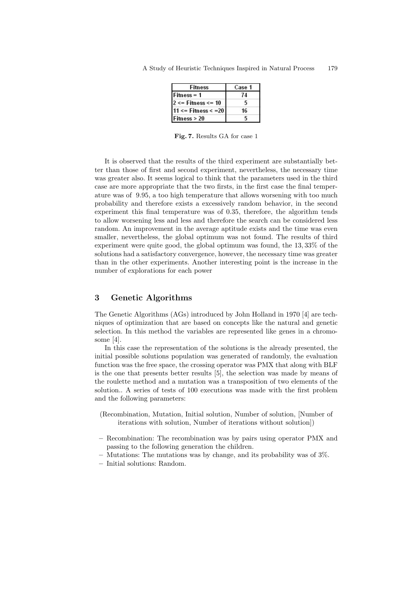| <b>Fitness</b>         | Case 1 |
|------------------------|--------|
| Fitness = 1            | 74     |
| $2 \le Fitness \le 10$ | -5     |
| 11 <= Fitness < $=20$  | 16     |
| Fitness > 20           |        |

**Fig. 7.** Results GA for case 1

It is observed that the results of the third experiment are substantially better than those of first and second experiment, nevertheless, the necessary time was greater also. It seems logical to think that the parameters used in the third case are more appropriate that the two firsts, in the first case the final temperature was of 9*.*95, a too high temperature that allows worsening with too much probability and therefore exists a excessively random behavior, in the second experiment this final temperature was of 0*.*35, therefore, the algorithm tends to allow worsening less and less and therefore the search can be considered less random. An improvement in the average aptitude exists and the time was even smaller, nevertheless, the global optimum was not found. The results of third experiment were quite good, the global optimum was found, the 13*,* 33% of the solutions had a satisfactory convergence, however, the necessary time was greater than in the other experiments. Another interesting point is the increase in the number of explorations for each power

## **3 Genetic Algorithms**

The Genetic Algorithms (AGs) introduced by John Holland in 1970 [\[4\]](#page-8-10) are techniques of optimization that are based on concepts like the natural and genetic selection. In this method the variables are represented like genes in a chromosome [\[4\]](#page-8-10).

In this case the representation of the solutions is the already presented, the initial possible solutions population was generated of randomly, the evaluation function was the free space, the crossing operator was PMX that along with BLF is the one that presents better results [\[5\]](#page-8-11), the selection was made by means of the roulette method and a mutation was a transposition of two elements of the solution.. A series of tests of 100 executions was made with the first problem and the following parameters:

- (Recombination, Mutation, Initial solution, Number of solution, [Number of iterations with solution, Number of iterations without solution])
- **–** Recombination: The recombination was by pairs using operator PMX and passing to the following generation the children.
- **–** Mutations: The mutations was by change, and its probability was of 3%.
- **–** Initial solutions: Random.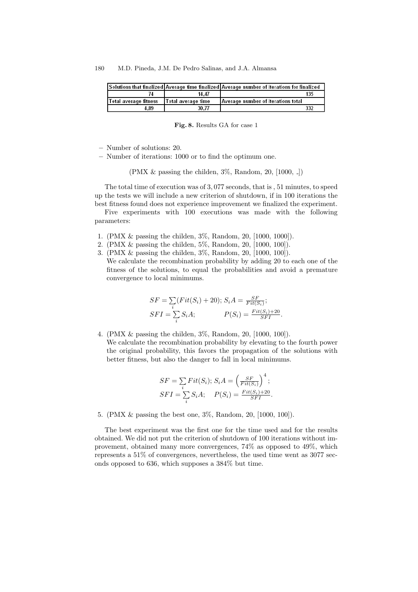|                       |                    | Solutions that finalized Average time finalized Average number of iterations for finalized |
|-----------------------|--------------------|--------------------------------------------------------------------------------------------|
|                       | 14.47              | 135                                                                                        |
| Total average fitness | Total average time | Average number of iterations total                                                         |
| 4.89                  | 30.77              | 332                                                                                        |

**Fig. 8.** Results GA for case 1

**–** Number of solutions: 20.

**–** Number of iterations: 1000 or to find the optimum one.

(PMX & passing the childen, 3%, Random, 20, [1000, ])

The total time of execution was of 3*,* 077 seconds, that is , 51 minutes, to speed up the tests we will include a new criterion of shutdown, if in 100 iterations the best fitness found does not experience improvement we finalized the experiment.

Five experiments with 100 executions was made with the following parameters:

- 1. (PMX & passing the childen, 3%, Random, 20, [1000, 1000]).
- 2. (PMX & passing the childen, 5%, Random, 20, [1000, 100]).
- 3. (PMX & passing the childen, 3%, Random, 20, [1000, 100]). We calculate the recombination probability by adding 20 to each one of the fitness of the solutions, to equal the probabilities and avoid a premature convergence to local minimums.

$$
SF = \sum_{i} (Fit(S_i) + 20); S_i A = \frac{SF}{Fit(S_i)};
$$
  
\n
$$
SFI = \sum_{i} S_i A; \qquad P(S_i) = \frac{Fit(S_i) + 20}{SFI}.
$$

4. (PMX & passing the childen, 3%, Random, 20, [1000, 100]).

We calculate the recombination probability by elevating to the fourth power the original probability, this favors the propagation of the solutions with better fitness, but also the danger to fall in local minimums.

$$
SF = \sum_{i} Fit(S_i); S_i A = \left(\frac{SF}{Fit(S_i)}\right)^4; SFI = \sum_{i} S_i A; \quad P(S_i) = \frac{Fit(S_i) + 20}{SFI}.
$$

5. (PMX & passing the best one, 3%, Random, 20, [1000, 100]).

The best experiment was the first one for the time used and for the results obtained. We did not put the criterion of shutdown of 100 iterations without improvement, obtained many more convergences, 74% as opposed to 49%, which represents a 51% of convergences, nevertheless, the used time went as 3077 seconds opposed to 636, which supposes a 384% but time.